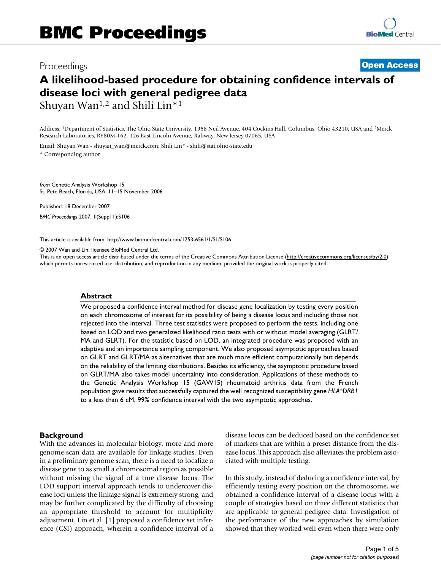# Proceedings **[Open Access](http://www.biomedcentral.com/info/about/charter/) A likelihood-based procedure for obtaining confidence intervals of disease loci with general pedigree data** Shuyan Wan<sup>1,2</sup> and Shili Lin<sup>\*1</sup>

Address: 1Department of Statistics, The Ohio State University, 1958 Neil Avenue, 404 Cockins Hall, Columbus, Ohio 43210, USA and 2Merck Research Laboratories, RY80M-162, 126 East Lincoln Avenue, Rahway, New Jersey 07065, USA

Email: Shuyan Wan - shuyan\_wan@merck.com; Shili Lin\* - shili@stat.ohio-state.edu

\* Corresponding author

*from* Genetic Analysis Workshop 15 St. Pete Beach, Florida, USA. 11–15 November 2006

Published: 18 December 2007 *BMC Proceedings* 2007, **1**(Suppl 1):S106

[This article is available from: http://www.biomedcentral.com/1753-6561/1/S1/S106](http://www.biomedcentral.com/1753-6561/1/S1/S106)

© 2007 Wan and Lin; licensee BioMed Central Ltd.

This is an open access article distributed under the terms of the Creative Commons Attribution License [\(http://creativecommons.org/licenses/by/2.0\)](http://creativecommons.org/licenses/by/2.0), which permits unrestricted use, distribution, and reproduction in any medium, provided the original work is properly cited.

# **Abstract**

We proposed a confidence interval method for disease gene localization by testing every position on each chromosome of interest for its possibility of being a disease locus and including those not rejected into the interval. Three test statistics were proposed to perform the tests, including one based on LOD and two generalized likelihood ratio tests with or without model averaging (GLRT/ MA and GLRT). For the statistic based on LOD, an integrated procedure was proposed with an adaptive and an importance sampling component. We also proposed asymptotic approaches based on GLRT and GLRT/MA as alternatives that are much more efficient computationally but depends on the reliability of the limiting distributions. Besides its efficiency, the asymptotic procedure based on GLRT/MA also takes model uncertainty into consideration. Applications of these methods to the Genetic Analysis Workshop 15 (GAW15) rheumatoid arthritis data from the French population gave results that successfully captured the well recognized susceptibility gene *HLA*\**DRB1* to a less than 6 cM, 99% confidence interval with the two asymptotic approaches.

# **Background**

With the advances in molecular biology, more and more genome-scan data are available for linkage studies. Even in a preliminary genome scan, there is a need to localize a disease gene to as small a chromosomal region as possible without missing the signal of a true disease locus. The LOD support interval approach tends to undercover disease loci unless the linkage signal is extremely strong, and may be further complicated by the difficulty of choosing an appropriate threshold to account for multiplicity adjustment. Lin et al. [1] proposed a confidence set inference (CSI) approach, wherein a confidence interval of a disease locus can be deduced based on the confidence set of markers that are within a preset distance from the disease locus. This approach also alleviates the problem associated with multiple testing.

In this study, instead of deducing a confidence interval, by efficiently testing every position on the chromosome, we obtained a confidence interval of a disease locus with a couple of strategies based on three different statistics that are applicable to general pedigree data. Investigation of the performance of the new approaches by simulation showed that they worked well even when there were only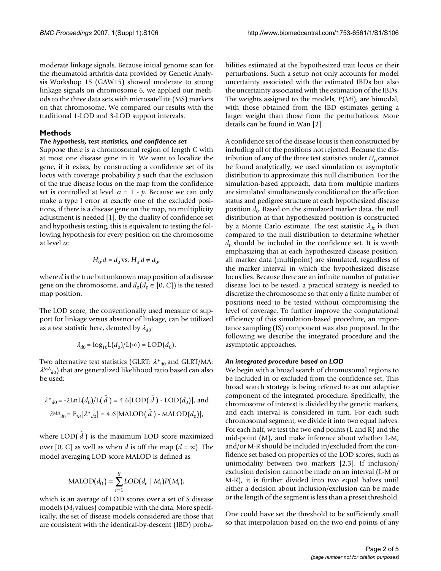moderate linkage signals. Because initial genome scan for the rheumatoid arthritis data provided by Genetic Analysis Workshop 15 (GAW15) showed moderate to strong linkage signals on chromosome 6, we applied our methods to the three data sets with microsatellite (MS) markers on that chromosome. We compared our results with the traditional 1-LOD and 3-LOD support intervals.

# **Methods**

# *The hypothesis, test statistics, and confidence set*

Suppose there is a chromosomal region of length *C* with at most one disease gene in it. We want to localize the gene, if it exists, by constructing a confidence set of its locus with coverage probability *p* such that the exclusion of the true disease locus on the map from the confidence set is controlled at level  $\alpha = 1$  -  $p$ . Because we can only make a type I error at exactly one of the excluded positions, if there is a disease gene on the map, no multiplicity adjustment is needed [1]. By the duality of confidence set and hypothesis testing, this is equivalent to testing the following hypothesis for every position on the chromosome at level α:

$$
H_0: d = d_0 \,\text{vs.}\,\, H_a: d \neq d_0,
$$

where *d* is the true but unknown map position of a disease gene on the chromosome, and  $d_0(d_0 \in [0, C])$  is the tested map position.

The LOD score, the conventionally used measure of support for linkage versus absence of linkage, can be utilized as a test statistic here, denoted by  $\lambda_{d0}$ :

$$
\lambda_{d0} = \log_{10} \mathcal{L}(d_0) / \mathcal{L}(\infty) = \text{LOD}(d_0).
$$

Two alternative test statistics (GLRT:  $λ*_{d0}$  and GLRT/MA:  $\lambda^{MA}$ <sub>d0</sub>) that are generalized likelihood ratio based can also be used:

$$
\lambda^*_{d0} = -2\text{LnL}(d_0)/\text{L}(\hat{d}) = 4.6[\text{LOD}(\hat{d}) - \text{LOD}(d_0)], \text{ and}
$$

$$
\lambda^{\text{MA}}_{d0} = \text{E}_M[\lambda^*_{d0}] = 4.6[\text{MALOD}(\hat{d}) - \text{MALOD}(d_0)],
$$

where  $\text{LOD}(\hat{d})$  is the maximum LOD score maximized over [0, *C*] as well as when *d* is off the map  $(d = \infty)$ . The model averaging LOD score MALOD is defined as

$$
\text{MALOD}(d_0) = \sum_{i=1}^{S} \text{LOD}(d_0 \mid M_i) P(M_i),
$$

which is an average of LOD scores over a set of *S* disease models (*M<sub>i</sub>* values) compatible with the data. More specifically, the set of disease models considered are those that are consistent with the identical-by-descent (IBD) probabilities estimated at the hypothesized trait locus or their perturbations. Such a setup not only accounts for model uncertainty associated with the estimated IBDs but also the uncertainty associated with the estimation of the IBDs. The weights assigned to the models, *P*(*Mi*), are bimodal, with those obtained from the IBD estimates getting a larger weight than those from the perturbations. More details can be found in Wan [2].

A confidence set of the disease locus is then constructed by including all of the positions not rejected. Because the distribution of any of the three test statistics under  $H_0$  cannot be found analytically, we used simulation or asymptotic distribution to approximate this null distribution. For the simulation-based approach, data from multiple markers are simulated simultaneously conditional on the affection status and pedigree structure at each hypothesized disease position  $d_0$ . Based on the simulated marker data, the null distribution at that hypothesized position is constructed by a Monte Carlo estimate. The test statistic  $\lambda_{d0}$  is then compared to the null distribution to determine whether  $d_0$  should be included in the confidence set. It is worth emphasizing that at each hypothesized disease position, all marker data (multipoint) are simulated, regardless of the marker interval in which the hypothesized disease locus lies. Because there are an infinite number of putative disease loci to be tested, a practical strategy is needed to discretize the chromosome so that only a finite number of positions need to be tested without compromising the level of coverage. To further improve the computational efficiency of this simulation-based procedure, an importance sampling (IS) component was also proposed. In the following we describe the integrated procedure and the asymptotic approaches.

# *An integrated procedure based on LOD*

We begin with a broad search of chromosomal regions to be included in or excluded from the confidence set. This broad search strategy is being referred to as our adaptive component of the integrated procedure. Specifically, the chromosome of interest is divided by the genetic markers, and each interval is considered in turn. For each such chromosomal segment, we divide it into two equal halves. For each half, we test the two end points (L and R) and the mid-point (M), and make inference about whether L-M, and/or M-R should be included in/excluded from the confidence set based on properties of the LOD scores, such as unimodality between two markers [2,3]. If inclusion/ exclusion decision cannot be made on an interval (L-M or M-R), it is further divided into two equal halves until either a decision about inclusion/exclusion can be made or the length of the segment is less than a preset threshold.

One could have set the threshold to be sufficiently small so that interpolation based on the two end points of any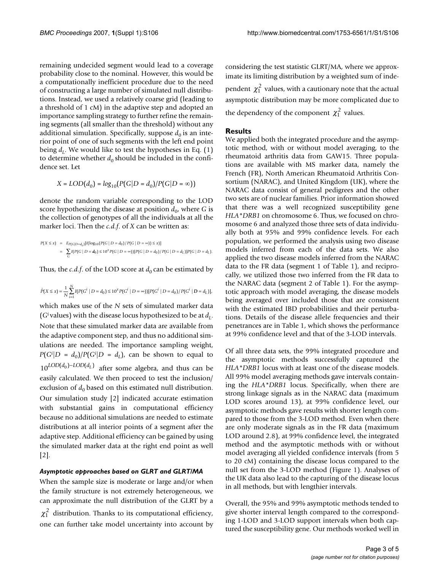remaining undecided segment would lead to a coverage probability close to the nominal. However, this would be a computationally inefficient procedure due to the need of constructing a large number of simulated null distributions. Instead, we used a relatively coarse grid (leading to a threshold of 1 cM) in the adaptive step and adopted an importance sampling strategy to further refine the remaining segments (all smaller than the threshold) without any additional simulation. Specifically, suppose  $d_0$  is an interior point of one of such segments with the left end point being  $d<sub>L</sub>$ . We would like to test the hypotheses in Eq. (1) to determine whether  $d_0$  should be included in the confidence set. Let

$$
X = LOD(d_0) = log_{10}(P(G|D = d_0)/P(G|D = \infty))
$$

denote the random variable corresponding to the LOD score hypothesizing the disease at position  $d_0$ , where *G* is the collection of genotypes of all the individuals at all the marker loci. Then the *c.d.f*. of *X* can be written as:

$$
\begin{array}{lcl} P(X \leq x) & = & E_{P(G|D=d_0)}[I(\log_{10}(P(G \mid D=d_0)/P(G \mid D=\infty)) \leq x)] \\ \\ & = & \sum_{G} [I(P(G \mid D=d_0) \leq 10^x P(G \mid D=\infty)) [P(G \mid D=d_0)/P(G \mid D=d_L)] P(G \mid D=d_L). \end{array}
$$

Thus, the *c.d.f.* of the LOD score at  $d_0$  can be estimated by

$$
\hat{P}(X \le x) = \frac{1}{N} \sum_{i=1}^{N} I(P(G^i \mid D = d_0) \le 10^x P(G^i \mid D = \infty))[P(G^i \mid D = d_0)/P(G^i \mid D = d_L)]
$$

which makes use of the *N* sets of simulated marker data (*Gi* values) with the disease locus hypothesized to be at  $d<sub>L</sub>$ . Note that these simulated marker data are available from the adaptive component step, and thus no additional simulations are needed. The importance sampling weight,  $P(G^i|D = d_0)/P(G^i|D = d_L)$ , can be shown to equal to  $10^{LOD(d_0)-LOD(d_L)}$  after some algebra, and thus can be easily calculated. We then proceed to test the inclusion/ exclusion of  $d_0$  based on this estimated null distribution. Our simulation study [2] indicated accurate estimation with substantial gains in computational efficiency because no additional simulations are needed to estimate distributions at all interior points of a segment after the adaptive step. Additional efficiency can be gained by using the simulated marker data at the right end point as well [2].

# *Asymptotic approaches based on GLRT and GLRT/MA*

When the sample size is moderate or large and/or when the family structure is not extremely heterogeneous, we can approximate the null distribution of the GLRT by a  $\chi_1^2$  distribution. Thanks to its computational efficiency, one can further take model uncertainty into account by

considering the test statistic GLRT/MA, where we approximate its limiting distribution by a weighted sum of independent  $\chi_1^2$  values, with a cautionary note that the actual asymptotic distribution may be more complicated due to the dependency of the component  $\chi_1^2$  values.

# **Results**

We applied both the integrated procedure and the asymptotic method, with or without model averaging, to the rheumatoid arthritis data from GAW15. Three populations are available with MS marker data, namely the French (FR), North American Rheumatoid Arthritis Consortium (NARAC), and United Kingdom (UK), where the NARAC data consist of general pedigrees and the other two sets are of nuclear families. Prior information showed that there was a well recognized susceptibility gene *HLA\*DRB1* on chromosome 6. Thus, we focused on chromosome 6 and analyzed those three sets of data individually both at 95% and 99% confidence levels. For each population, we performed the analysis using two disease models inferred from each of the data sets. We also applied the two disease models inferred from the NARAC data to the FR data (segment 1 of Table 1), and reciprocally, we utilized those two inferred from the FR data to the NARAC data (segment 2 of Table 1). For the asymptotic approach with model averaging, the disease models being averaged over included those that are consistent with the estimated IBD probabilities and their perturbations. Details of the disease allele frequencies and their penetrances are in Table 1, which shows the performance at 99% confidence level and that of the 3-LOD intervals.

Of all three data sets, the 99% integrated procedure and the asymptotic methods successfully captured the *HLA\*DRB1* locus with at least one of the disease models. All 99% model averaging methods gave intervals containing the *HLA\*DRB1* locus. Specifically, when there are strong linkage signals as in the NARAC data (maximum LOD scores around 13), at 99% confidence level, our asymptotic methods gave results with shorter length compared to those from the 3-LOD method. Even when there are only moderate signals as in the FR data (maximum LOD around 2.8), at 99% confidence level, the integrated method and the asymptotic methods with or without model averaging all yielded confidence intervals (from 5 to 20 cM) containing the disease locus compared to the null set from the 3-LOD method (Figure 1). Analyses of the UK data also lead to the capturing of the disease locus in all methods, but with lengthier intervals.

Overall, the 95% and 99% asymptotic methods tended to give shorter interval length compared to the corresponding 1-LOD and 3-LOD support intervals when both captured the susceptibility gene. Our methods worked well in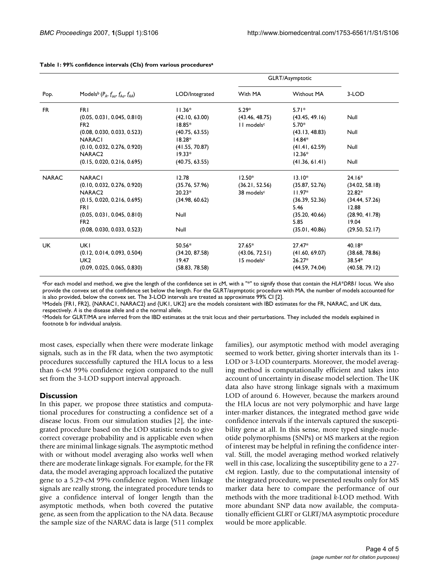| Pop.         | Models <sup>b</sup> $(P_A, f_{\alpha\alpha}, f_{A\alpha}, f_{AA})$ | LOD/Integrated | GLRT/Asymptotic        |                   |                |
|--------------|--------------------------------------------------------------------|----------------|------------------------|-------------------|----------------|
|              |                                                                    |                | With MA                | <b>Without MA</b> | 3-LOD          |
| <b>FR</b>    | <b>FRI</b>                                                         | $11.36*$       | $5.29*$                | $5.71*$           |                |
|              | (0.05, 0.031, 0.045, 0.810)                                        | (42.10, 63.00) | (43.46, 48.75)         | (43.45, 49.16)    | Null           |
|              | FR <sub>2</sub>                                                    | $18.85*$       | II models <sup>c</sup> | $5.70*$           |                |
|              | (0.08, 0.030, 0.033, 0.523)                                        | (40.75, 63.55) |                        | (43.13, 48.83)    | Null           |
|              | <b>NARACI</b>                                                      | $18.28*$       |                        | $14.84*$          |                |
|              | (0.10, 0.032, 0.276, 0.920)                                        | (41.55, 70.87) |                        | (41.41, 62.59)    | Null           |
|              | NARAC <sub>2</sub>                                                 | $19.33*$       |                        | $12.36*$          |                |
|              | (0.15, 0.020, 0.216, 0.695)                                        | (40.75, 63.55) |                        | (41.36, 61.41)    | Null           |
| <b>NARAC</b> | <b>NARACI</b>                                                      | 12.78          | $12.50*$               | $13.10*$          | $24.16*$       |
|              | (0.10, 0.032, 0.276, 0.920)                                        | (35.76, 57.96) | (36.21, 52.56)         | (35.87, 52.76)    | (34.02, 58.18) |
|              | NARAC <sub>2</sub>                                                 | $20.23*$       | 38 modelsc             | $11.97*$          | $22.82*$       |
|              | (0.15, 0.020, 0.216, 0.695)                                        | (34.98, 60.62) |                        | (36.39, 52.36)    | (34.44, 57.26) |
|              | FR I                                                               |                |                        | 5.46              | 12.88          |
|              | (0.05, 0.031, 0.045, 0.810)                                        | Null           |                        | (35.20, 40.66)    | (28.90, 41.78) |
|              | FR <sub>2</sub>                                                    |                |                        | 5.85              | 19.04          |
|              | (0.08, 0.030, 0.033, 0.523)                                        | <b>Null</b>    |                        | (35.01, 40.86)    | (29.50, 52.17) |
| <b>UK</b>    | <b>UKI</b>                                                         | $50.56*$       | $27.65*$               | $27.47*$          | $40.18*$       |
|              | (0.12, 0.014, 0.093, 0.504)                                        | (34.20, 87.58) | (43.06, 72.51)         | (41.60, 69.07)    | (38.68, 78.86) |
|              | UK <sub>2</sub>                                                    | 19.47          | 15 modelsc             | $26.27*$          | $38.54*$       |
|              | (0.09, 0.025, 0.065, 0.830)                                        | (58.83, 78.58) |                        | (44.59, 74.04)    | (40.58, 79.12) |

#### **Table 1: 99% confidence intervals (CIs) from various proceduresa**

aFor each model and method, we give the length of the confidence set in cM, with a "\*" to signify those that contain the *HLA\*DRB1* locus. We also provide the convex set of the confidence set below the length. For the GLRT/asymptotic procedure with MA, the number of models accounted for is also provided, below the convex set. The 3-LOD intervals are treated as approximate 99% CI [2].

bModels {FR1, FR2}, {NARAC1, NARAC2} and {UK1, UK2} are the models consistent with IBD estimates for the FR, NARAC, and UK data, respectively. *A* is the disease allele and *a* the normal allele.

cModels for GLRT/MA are inferred from the IBD estimates at the trait locus and their perturbations. They included the models explained in footnote b for individual analysis.

most cases, especially when there were moderate linkage signals, such as in the FR data, when the two asymptotic procedures successfully captured the HLA locus to a less than 6-cM 99% confidence region compared to the null set from the 3-LOD support interval approach.

#### **Discussion**

In this paper, we propose three statistics and computational procedures for constructing a confidence set of a disease locus. From our simulation studies [2], the integrated procedure based on the LOD statistic tends to give correct coverage probability and is applicable even when there are minimal linkage signals. The asymptotic method with or without model averaging also works well when there are moderate linkage signals. For example, for the FR data, the model averaging approach localized the putative gene to a 5.29-cM 99% confidence region. When linkage signals are really strong, the integrated procedure tends to give a confidence interval of longer length than the asymptotic methods, when both covered the putative gene, as seen from the application to the NA data. Because the sample size of the NARAC data is large (511 complex families), our asymptotic method with model averaging seemed to work better, giving shorter intervals than its 1- LOD or 3-LOD counterparts. Moreover, the model averaging method is computationally efficient and takes into account of uncertainty in disease model selection. The UK data also have strong linkage signals with a maximum LOD of around 6. However, because the markers around the HLA locus are not very polymorphic and have large inter-marker distances, the integrated method gave wide confidence intervals if the intervals captured the susceptibility gene at all. In this sense, more typed single-nucleotide polymorphisms (SNPs) or MS markers at the region of interest may be helpful in refining the confidence interval. Still, the model averaging method worked relatively well in this case, localizing the susceptibility gene to a 27 cM region. Lastly, due to the computational intensity of the integrated procedure, we presented results only for MS marker data here to compare the performance of our methods with the more traditional *k*-LOD method. With more abundant SNP data now available, the computationally efficient GLRT or GLRT/MA asymptotic procedure would be more applicable.